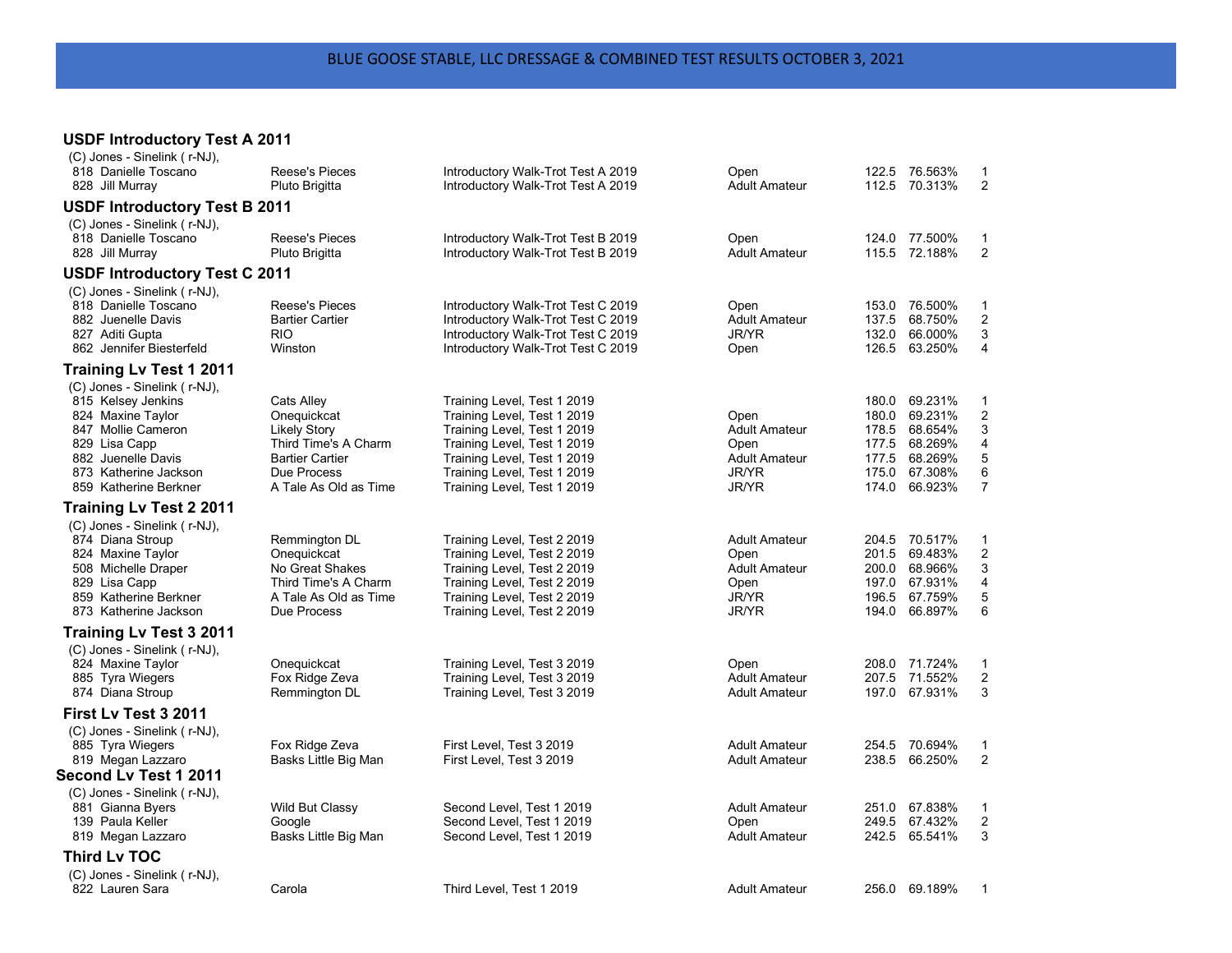## **USDF Introductory Test A 2011**

| (C) Jones - Sinelink (r-NJ),                                   |                                         |                                                                          |                              |                                   |                         |
|----------------------------------------------------------------|-----------------------------------------|--------------------------------------------------------------------------|------------------------------|-----------------------------------|-------------------------|
| 818 Danielle Toscano<br>828 Jill Murray                        | <b>Reese's Pieces</b><br>Pluto Brigitta | Introductory Walk-Trot Test A 2019<br>Introductory Walk-Trot Test A 2019 | Open<br><b>Adult Amateur</b> | 122.5 76.563%<br>112.5 70.313%    | 1<br>$\overline{2}$     |
| <b>USDF Introductory Test B 2011</b>                           |                                         |                                                                          |                              |                                   |                         |
| (C) Jones - Sinelink (r-NJ),                                   |                                         |                                                                          |                              |                                   |                         |
| 818 Danielle Toscano                                           | Reese's Pieces                          | Introductory Walk-Trot Test B 2019                                       | Open                         | 124.0 77.500%                     | $\mathbf 1$             |
| 828 Jill Murray                                                | Pluto Brigitta                          | Introductory Walk-Trot Test B 2019                                       | <b>Adult Amateur</b>         | 115.5 72.188%                     | $\overline{2}$          |
| <b>USDF Introductory Test C 2011</b>                           |                                         |                                                                          |                              |                                   |                         |
| (C) Jones - Sinelink (r-NJ),                                   |                                         |                                                                          |                              |                                   |                         |
| 818 Danielle Toscano                                           | <b>Reese's Pieces</b>                   | Introductory Walk-Trot Test C 2019                                       | Open                         | 153.0 76.500%                     | 1                       |
| 882 Juenelle Davis                                             | <b>Bartier Cartier</b>                  | Introductory Walk-Trot Test C 2019                                       | <b>Adult Amateur</b>         | 137.5 68.750%                     | $\overline{2}$          |
| 827 Aditi Gupta                                                | <b>RIO</b>                              | Introductory Walk-Trot Test C 2019                                       | <b>JR/YR</b>                 | 132.0 66.000%                     | 3                       |
| 862 Jennifer Biesterfeld                                       | Winston                                 | Introductory Walk-Trot Test C 2019                                       | Open                         | 126.5 63.250%                     | 4                       |
| <b>Training Lv Test 1 2011</b>                                 |                                         |                                                                          |                              |                                   |                         |
| (C) Jones - Sinelink (r-NJ),                                   |                                         |                                                                          |                              | 180.0 69.231%                     | $\mathbf{1}$            |
| 815 Kelsey Jenkins<br>824 Maxine Taylor                        | Cats Alley<br>Onequickcat               | Training Level, Test 1 2019<br>Training Level, Test 1 2019               | Open                         | 69.231%<br>180.0                  | $\overline{2}$          |
| 847 Mollie Cameron                                             | <b>Likely Story</b>                     | Training Level, Test 1 2019                                              | <b>Adult Amateur</b>         | 68.654%<br>178.5                  | 3                       |
| 829 Lisa Capp                                                  | Third Time's A Charm                    | Training Level, Test 1 2019                                              | Open                         | 177.5 68.269%                     | $\overline{\mathbf{4}}$ |
| 882 Juenelle Davis                                             | <b>Bartier Cartier</b>                  | Training Level, Test 1 2019                                              | <b>Adult Amateur</b>         | 177.5 68.269%                     | 5                       |
| 873 Katherine Jackson                                          | Due Process                             | Training Level, Test 1 2019                                              | JR/YR                        | 175.0 67.308%                     | 6                       |
| 859 Katherine Berkner                                          | A Tale As Old as Time                   | Training Level, Test 1 2019                                              | <b>JR/YR</b>                 | 174.0 66.923%                     | $\overline{7}$          |
| <b>Training Lv Test 2 2011</b>                                 |                                         |                                                                          |                              |                                   |                         |
| (C) Jones - Sinelink (r-NJ),                                   |                                         |                                                                          |                              |                                   |                         |
| 874 Diana Stroup                                               | Remmington DL                           | Training Level, Test 2 2019                                              | <b>Adult Amateur</b>         | 204.5 70.517%                     | $\mathbf 1$             |
| 824 Maxine Taylor                                              | Onequickcat                             | Training Level, Test 2 2019                                              | Open                         | 201.5 69.483%                     | $\overline{c}$          |
| 508 Michelle Draper                                            | No Great Shakes                         | Training Level, Test 2 2019                                              | <b>Adult Amateur</b>         | 200.0 68.966%                     | $\mathbf{3}$            |
| 829 Lisa Capp                                                  | Third Time's A Charm                    | Training Level, Test 2 2019                                              | Open                         | 197.0 67.931%                     | $\overline{\mathbf{4}}$ |
| 859 Katherine Berkner<br>873 Katherine Jackson                 | A Tale As Old as Time<br>Due Process    | Training Level, Test 2 2019<br>Training Level, Test 2 2019               | JR/YR<br>JR/YR               | 196.5 67.759%<br>66.897%<br>194.0 | 5<br>$\,6$              |
|                                                                |                                         |                                                                          |                              |                                   |                         |
| <b>Training Lv Test 3 2011</b><br>(C) Jones - Sinelink (r-NJ), |                                         |                                                                          |                              |                                   |                         |
| 824 Maxine Taylor                                              | Onequickcat                             | Training Level, Test 3 2019                                              | Open                         | 208.0 71.724%                     | 1                       |
| 885 Tyra Wiegers                                               | Fox Ridge Zeva                          | Training Level, Test 3 2019                                              | <b>Adult Amateur</b>         | 207.5 71.552%                     | $\overline{2}$          |
| 874 Diana Stroup                                               | Remmington DL                           | Training Level, Test 3 2019                                              | <b>Adult Amateur</b>         | 197.0 67.931%                     | 3                       |
| First Ly Test 3 2011                                           |                                         |                                                                          |                              |                                   |                         |
| (C) Jones - Sinelink (r-NJ),                                   |                                         |                                                                          |                              |                                   |                         |
| 885 Tyra Wiegers                                               | Fox Ridge Zeva                          | First Level, Test 3 2019                                                 | <b>Adult Amateur</b>         | 254.5 70.694%                     | 1                       |
| 819 Megan Lazzaro                                              | Basks Little Big Man                    | First Level, Test 3 2019                                                 | <b>Adult Amateur</b>         | 238.5 66.250%                     | 2                       |
| <b>Second Lv Test 1 2011</b>                                   |                                         |                                                                          |                              |                                   |                         |
| (C) Jones - Sinelink (r-NJ),                                   |                                         |                                                                          |                              |                                   |                         |
| 881 Gianna Byers                                               | <b>Wild But Classy</b>                  | Second Level, Test 1 2019                                                | <b>Adult Amateur</b>         | 251.0 67.838%                     | $\mathbf 1$             |
| 139 Paula Keller                                               | Google                                  | Second Level, Test 1 2019                                                | Open                         | 249.5 67.432%                     | $\overline{2}$          |
| 819 Megan Lazzaro                                              | Basks Little Big Man                    | Second Level, Test 1 2019                                                | <b>Adult Amateur</b>         | 242.5 65.541%                     | 3                       |
| <b>Third Lv TOC</b>                                            |                                         |                                                                          |                              |                                   |                         |
| (C) Jones - Sinelink (r-NJ),                                   |                                         |                                                                          |                              |                                   |                         |
| 822 Lauren Sara                                                | Carola                                  | Third Level, Test 1 2019                                                 | <b>Adult Amateur</b>         | 256.0 69.189%                     | 1                       |